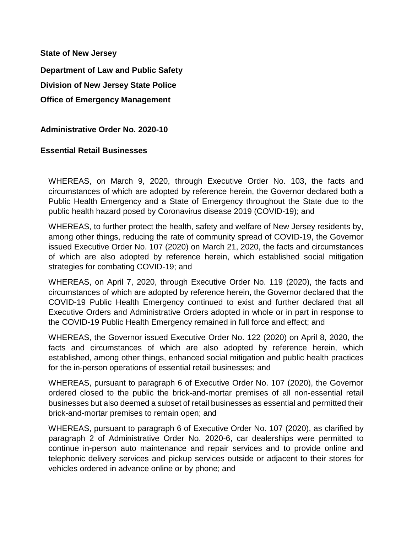**State of New Jersey** 

**Department of Law and Public Safety Division of New Jersey State Police Office of Emergency Management**

**Administrative Order No. 2020-10** 

## **Essential Retail Businesses**

WHEREAS, on March 9, 2020, through Executive Order No. 103, the facts and circumstances of which are adopted by reference herein, the Governor declared both a Public Health Emergency and a State of Emergency throughout the State due to the public health hazard posed by Coronavirus disease 2019 (COVID-19); and

WHEREAS, to further protect the health, safety and welfare of New Jersey residents by, among other things, reducing the rate of community spread of COVID-19, the Governor issued Executive Order No. 107 (2020) on March 21, 2020, the facts and circumstances of which are also adopted by reference herein, which established social mitigation strategies for combating COVID-19; and

WHEREAS, on April 7, 2020, through Executive Order No. 119 (2020), the facts and circumstances of which are adopted by reference herein, the Governor declared that the COVID-19 Public Health Emergency continued to exist and further declared that all Executive Orders and Administrative Orders adopted in whole or in part in response to the COVID-19 Public Health Emergency remained in full force and effect; and

WHEREAS, the Governor issued Executive Order No. 122 (2020) on April 8, 2020, the facts and circumstances of which are also adopted by reference herein, which established, among other things, enhanced social mitigation and public health practices for the in-person operations of essential retail businesses; and

WHEREAS, pursuant to paragraph 6 of Executive Order No. 107 (2020), the Governor ordered closed to the public the brick-and-mortar premises of all non-essential retail businesses but also deemed a subset of retail businesses as essential and permitted their brick-and-mortar premises to remain open; and

WHEREAS, pursuant to paragraph 6 of Executive Order No. 107 (2020), as clarified by paragraph 2 of Administrative Order No. 2020-6, car dealerships were permitted to continue in-person auto maintenance and repair services and to provide online and telephonic delivery services and pickup services outside or adjacent to their stores for vehicles ordered in advance online or by phone; and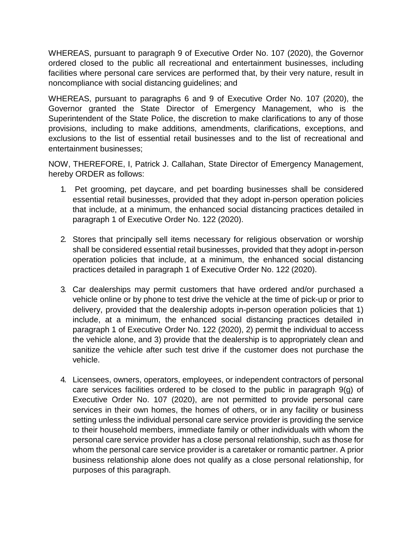WHEREAS, pursuant to paragraph 9 of Executive Order No. 107 (2020), the Governor ordered closed to the public all recreational and entertainment businesses, including facilities where personal care services are performed that, by their very nature, result in noncompliance with social distancing guidelines; and

WHEREAS, pursuant to paragraphs 6 and 9 of Executive Order No. 107 (2020), the Governor granted the State Director of Emergency Management, who is the Superintendent of the State Police, the discretion to make clarifications to any of those provisions, including to make additions, amendments, clarifications, exceptions, and exclusions to the list of essential retail businesses and to the list of recreational and entertainment businesses;

NOW, THEREFORE, I, Patrick J. Callahan, State Director of Emergency Management, hereby ORDER as follows:

- 1. Pet grooming, pet daycare, and pet boarding businesses shall be considered essential retail businesses, provided that they adopt in-person operation policies that include, at a minimum, the enhanced social distancing practices detailed in paragraph 1 of Executive Order No. 122 (2020).
- 2. Stores that principally sell items necessary for religious observation or worship shall be considered essential retail businesses, provided that they adopt in-person operation policies that include, at a minimum, the enhanced social distancing practices detailed in paragraph 1 of Executive Order No. 122 (2020).
- 3. Car dealerships may permit customers that have ordered and/or purchased a vehicle online or by phone to test drive the vehicle at the time of pick-up or prior to delivery, provided that the dealership adopts in-person operation policies that 1) include, at a minimum, the enhanced social distancing practices detailed in paragraph 1 of Executive Order No. 122 (2020), 2) permit the individual to access the vehicle alone, and 3) provide that the dealership is to appropriately clean and sanitize the vehicle after such test drive if the customer does not purchase the vehicle.
- 4. Licensees, owners, operators, employees, or independent contractors of personal care services facilities ordered to be closed to the public in paragraph 9(g) of Executive Order No. 107 (2020), are not permitted to provide personal care services in their own homes, the homes of others, or in any facility or business setting unless the individual personal care service provider is providing the service to their household members, immediate family or other individuals with whom the personal care service provider has a close personal relationship, such as those for whom the personal care service provider is a caretaker or romantic partner. A prior business relationship alone does not qualify as a close personal relationship, for purposes of this paragraph.